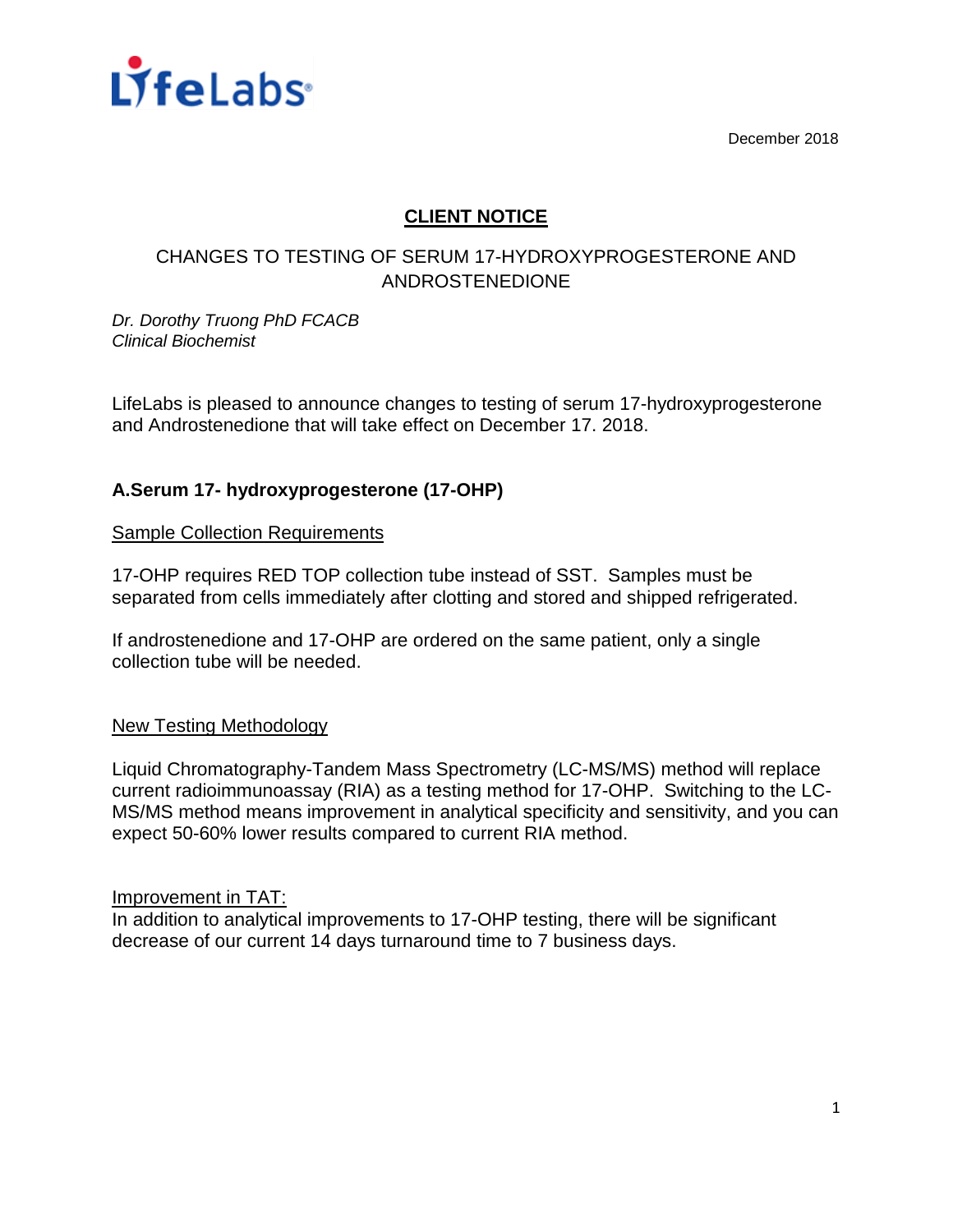

December 2018

# **CLIENT NOTICE**

# CHANGES TO TESTING OF SERUM 17-HYDROXYPROGESTERONE AND ANDROSTENEDIONE

*Dr. Dorothy Truong PhD FCACB Clinical Biochemist*

LifeLabs is pleased to announce changes to testing of serum 17-hydroxyprogesterone and Androstenedione that will take effect on December 17. 2018.

## **A.Serum 17- hydroxyprogesterone (17-OHP)**

Sample Collection Requirements

17-OHP requires RED TOP collection tube instead of SST. Samples must be separated from cells immediately after clotting and stored and shipped refrigerated.

If androstenedione and 17-OHP are ordered on the same patient, only a single collection tube will be needed.

### New Testing Methodology

Liquid Chromatography-Tandem Mass Spectrometry (LC-MS/MS) method will replace current radioimmunoassay (RIA) as a testing method for 17-OHP. Switching to the LC-MS/MS method means improvement in analytical specificity and sensitivity, and you can expect 50-60% lower results compared to current RIA method.

#### Improvement in TAT:

In addition to analytical improvements to 17-OHP testing, there will be significant decrease of our current 14 days turnaround time to 7 business days.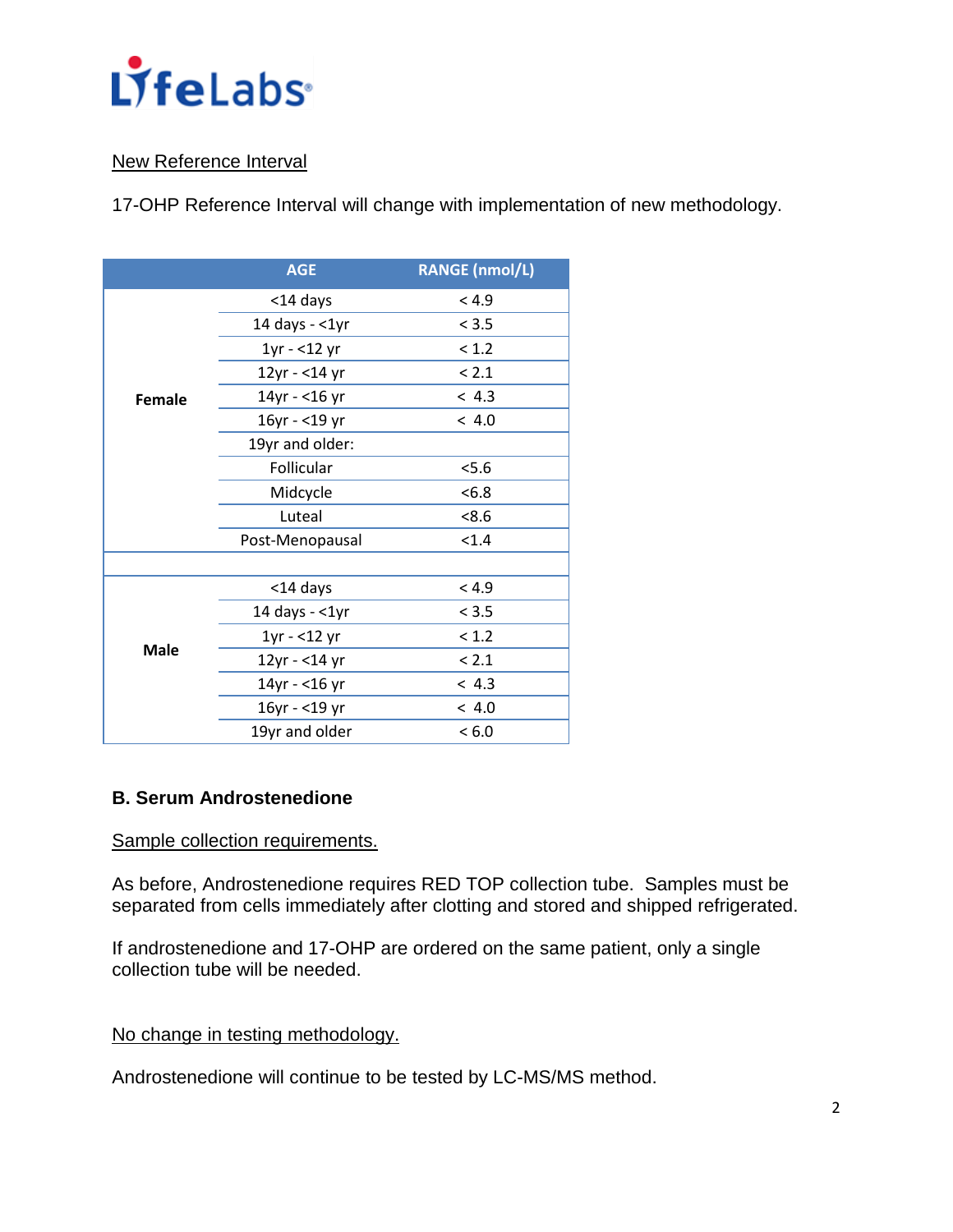

### New Reference Interval

17-OHP Reference Interval will change with implementation of new methodology.

|             | <b>AGE</b>       | <b>RANGE (nmol/L)</b> |
|-------------|------------------|-----------------------|
| Female      | <14 days         | < 4.9                 |
|             | 14 days $-$ <1yr | < 3.5                 |
|             | $1yr - 12 yr$    | < 1.2                 |
|             | 12yr - <14 yr    | < 2.1                 |
|             | 14yr - <16 yr    | < 4.3                 |
|             | 16yr - <19 yr    | < 4.0                 |
|             | 19yr and older:  |                       |
|             | Follicular       | 5.6                   |
|             | Midcycle         | <6.8                  |
|             | Luteal           | <8.6                  |
|             | Post-Menopausal  | < 1.4                 |
|             |                  |                       |
| <b>Male</b> | <14 days         | < 4.9                 |
|             | 14 days $-$ <1yr | < 3.5                 |
|             | $1yr - 12 yr$    | < 1.2                 |
|             | 12yr - <14 yr    | < 2.1                 |
|             | 14yr - <16 yr    | < 4.3                 |
|             | 16yr - <19 yr    | < 4.0                 |
|             | 19yr and older   | < 6.0                 |

### **B. Serum Androstenedione**

### Sample collection requirements.

As before, Androstenedione requires RED TOP collection tube. Samples must be separated from cells immediately after clotting and stored and shipped refrigerated.

If androstenedione and 17-OHP are ordered on the same patient, only a single collection tube will be needed.

### No change in testing methodology.

Androstenedione will continue to be tested by LC-MS/MS method.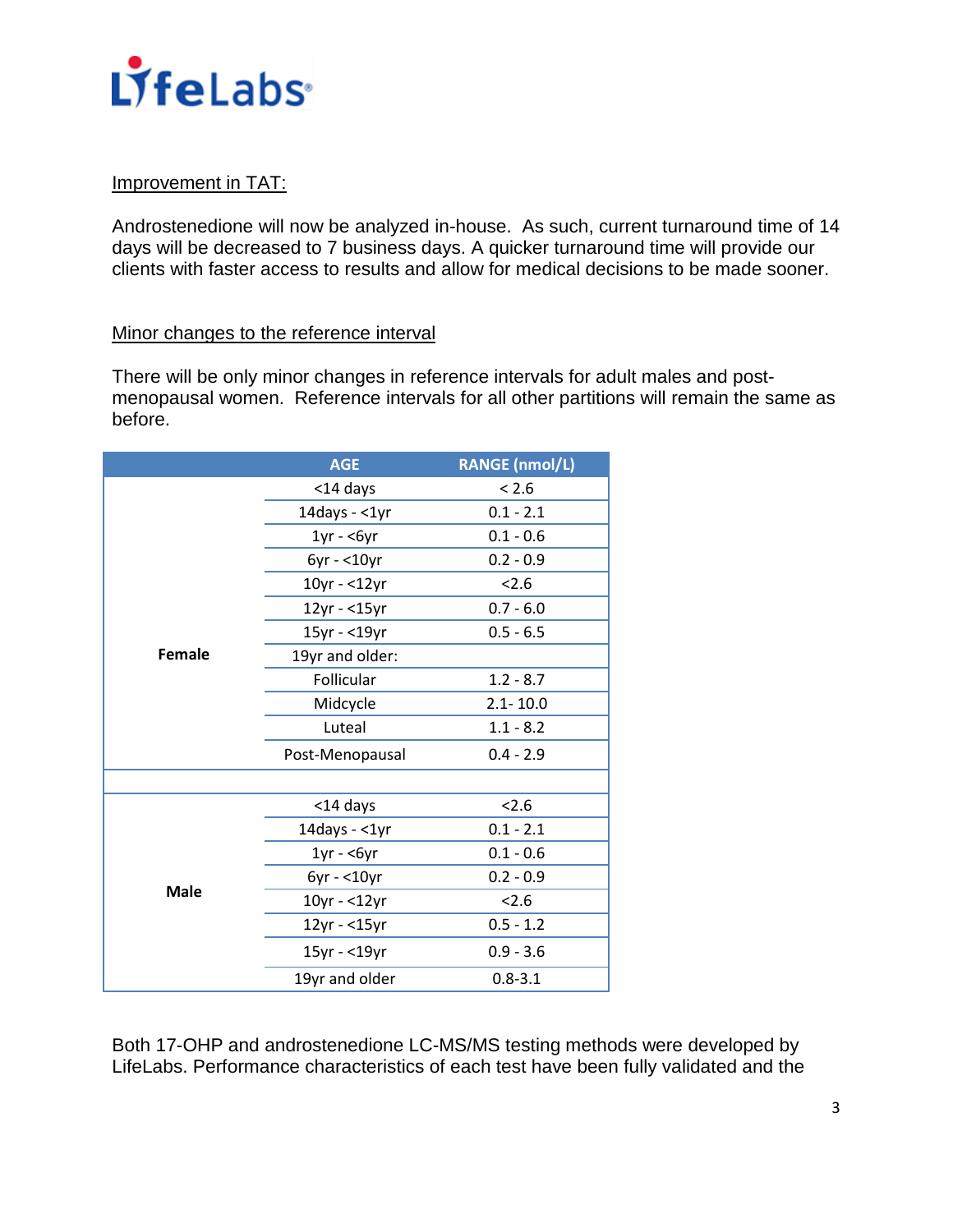

### Improvement in TAT:

Androstenedione will now be analyzed in-house. As such, current turnaround time of 14 days will be decreased to 7 business days. A quicker turnaround time will provide our clients with faster access to results and allow for medical decisions to be made sooner.

#### Minor changes to the reference interval

There will be only minor changes in reference intervals for adult males and postmenopausal women. Reference intervals for all other partitions will remain the same as before.

|             | <b>AGE</b>          | <b>RANGE (nmol/L)</b> |
|-------------|---------------------|-----------------------|
|             | <14 days            | < 2.6                 |
|             | 14days - $<$ 1yr    | $0.1 - 2.1$           |
|             | $1yr - 6yr$         | $0.1 - 0.6$           |
|             | $6yr - 10yr$        | $0.2 - 0.9$           |
|             | 10yr - <12yr        | 2.6                   |
|             | 12yr - <15yr        | $0.7 - 6.0$           |
|             | 15yr - <19yr        | $0.5 - 6.5$           |
| Female      | 19yr and older:     |                       |
|             | Follicular          | $1.2 - 8.7$           |
|             | Midcycle            | $2.1 - 10.0$          |
|             | Luteal              | $1.1 - 8.2$           |
|             | Post-Menopausal     | $0.4 - 2.9$           |
|             |                     |                       |
|             | <14 days            | 2.6                   |
|             | 14days - $<$ 1yr    | $0.1 - 2.1$           |
|             | $1yr - 6yr$         | $0.1 - 0.6$           |
|             | $6yr - 10yr$        | $0.2 - 0.9$           |
| <b>Male</b> | 10yr - <12yr        | 2.6                   |
|             | $12$ yr - < $15$ yr | $0.5 - 1.2$           |
|             | 15yr - <19yr        | $0.9 - 3.6$           |
|             | 19yr and older      | $0.8 - 3.1$           |

Both 17-OHP and androstenedione LC-MS/MS testing methods were developed by LifeLabs. Performance characteristics of each test have been fully validated and the